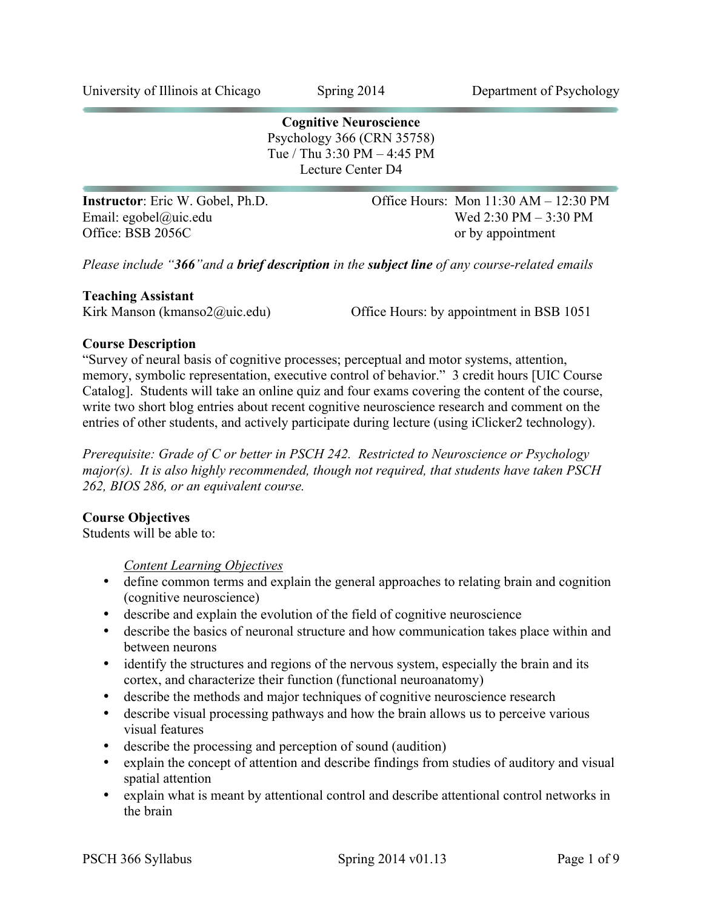**Cognitive Neuroscience** Psychology 366 (CRN 35758) Tue / Thu 3:30 PM – 4:45 PM Lecture Center D4 **Instructor**: Eric W. Gobel, Ph.D. **Office Hours: Mon 11:30 AM – 12:30 PM** Email: egobel@uic.edu Wed 2:30 PM – 3:30 PM

*Please include "366"and a brief description in the subject line of any course-related emails*

Office: BSB 2056C or by appointment

### **Teaching Assistant**

Kirk Manson (kmanso2@uic.edu) Office Hours: by appointment in BSB 1051

## **Course Description**

"Survey of neural basis of cognitive processes; perceptual and motor systems, attention, memory, symbolic representation, executive control of behavior." 3 credit hours [UIC Course Catalog]. Students will take an online quiz and four exams covering the content of the course, write two short blog entries about recent cognitive neuroscience research and comment on the entries of other students, and actively participate during lecture (using iClicker2 technology).

*Prerequisite: Grade of C or better in PSCH 242. Restricted to Neuroscience or Psychology major(s). It is also highly recommended, though not required, that students have taken PSCH 262, BIOS 286, or an equivalent course.*

# **Course Objectives**

Students will be able to:

*Content Learning Objectives*

- define common terms and explain the general approaches to relating brain and cognition (cognitive neuroscience)
- describe and explain the evolution of the field of cognitive neuroscience
- describe the basics of neuronal structure and how communication takes place within and between neurons
- identify the structures and regions of the nervous system, especially the brain and its cortex, and characterize their function (functional neuroanatomy)
- describe the methods and major techniques of cognitive neuroscience research
- describe visual processing pathways and how the brain allows us to perceive various visual features
- describe the processing and perception of sound (audition)
- explain the concept of attention and describe findings from studies of auditory and visual spatial attention
- explain what is meant by attentional control and describe attentional control networks in the brain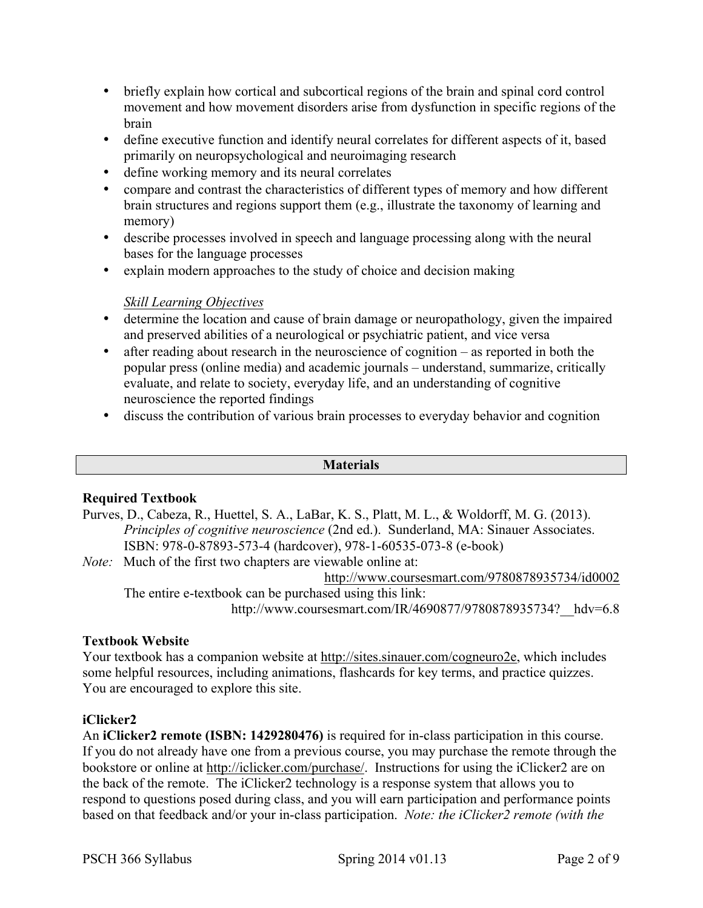- briefly explain how cortical and subcortical regions of the brain and spinal cord control movement and how movement disorders arise from dysfunction in specific regions of the brain
- define executive function and identify neural correlates for different aspects of it, based primarily on neuropsychological and neuroimaging research
- define working memory and its neural correlates
- compare and contrast the characteristics of different types of memory and how different brain structures and regions support them (e.g., illustrate the taxonomy of learning and memory)
- describe processes involved in speech and language processing along with the neural bases for the language processes
- explain modern approaches to the study of choice and decision making

# *Skill Learning Objectives*

- determine the location and cause of brain damage or neuropathology, given the impaired and preserved abilities of a neurological or psychiatric patient, and vice versa
- after reading about research in the neuroscience of cognition as reported in both the popular press (online media) and academic journals – understand, summarize, critically evaluate, and relate to society, everyday life, and an understanding of cognitive neuroscience the reported findings
- discuss the contribution of various brain processes to everyday behavior and cognition

### **Materials**

# **Required Textbook**

Purves, D., Cabeza, R., Huettel, S. A., LaBar, K. S., Platt, M. L., & Woldorff, M. G. (2013). *Principles of cognitive neuroscience* (2nd ed.). Sunderland, MA: Sinauer Associates. ISBN: 978-0-87893-573-4 (hardcover), 978-1-60535-073-8 (e-book)

*Note:* Much of the first two chapters are viewable online at:

http://www.coursesmart.com/9780878935734/id0002 The entire e-textbook can be purchased using this link:

http://www.coursesmart.com/IR/4690877/9780878935734? hdv=6.8

# **Textbook Website**

Your textbook has a companion website at http://sites.sinauer.com/cogneuro2e, which includes some helpful resources, including animations, flashcards for key terms, and practice quizzes. You are encouraged to explore this site.

# **iClicker2**

An **iClicker2 remote (ISBN: 1429280476)** is required for in-class participation in this course. If you do not already have one from a previous course, you may purchase the remote through the bookstore or online at http://iclicker.com/purchase/. Instructions for using the iClicker2 are on the back of the remote. The iClicker2 technology is a response system that allows you to respond to questions posed during class, and you will earn participation and performance points based on that feedback and/or your in-class participation. *Note: the iClicker2 remote (with the*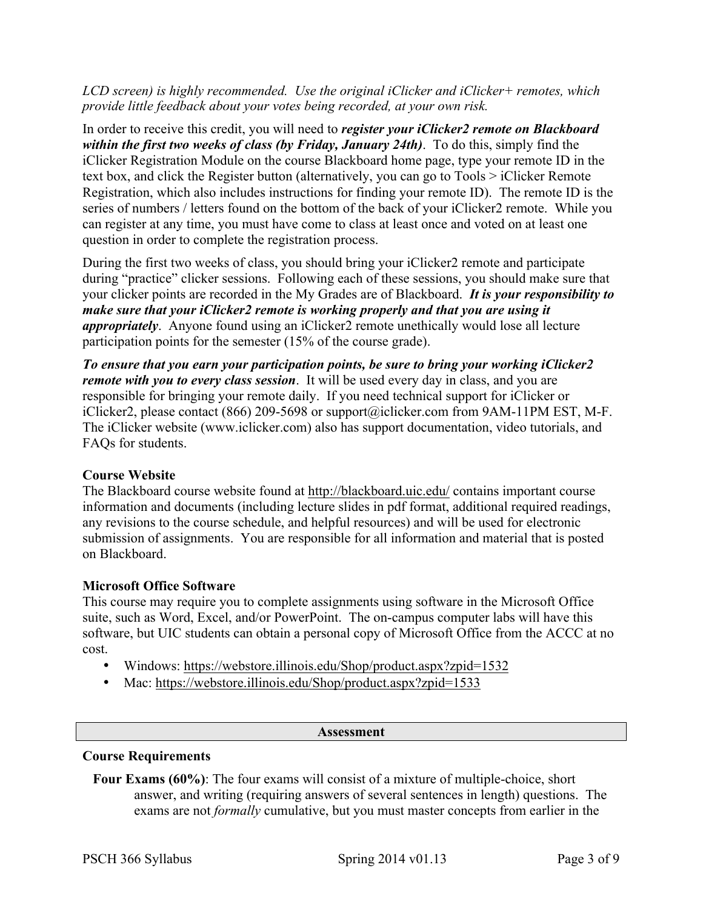## *LCD screen) is highly recommended. Use the original iClicker and iClicker+ remotes, which provide little feedback about your votes being recorded, at your own risk.*

In order to receive this credit, you will need to *register your iClicker2 remote on Blackboard within the first two weeks of class (by Friday, January 24th)*. To do this, simply find the iClicker Registration Module on the course Blackboard home page, type your remote ID in the text box, and click the Register button (alternatively, you can go to Tools > iClicker Remote Registration, which also includes instructions for finding your remote ID). The remote ID is the series of numbers / letters found on the bottom of the back of your iClicker2 remote. While you can register at any time, you must have come to class at least once and voted on at least one question in order to complete the registration process.

During the first two weeks of class, you should bring your iClicker2 remote and participate during "practice" clicker sessions. Following each of these sessions, you should make sure that your clicker points are recorded in the My Grades are of Blackboard. *It is your responsibility to make sure that your iClicker2 remote is working properly and that you are using it appropriately*. Anyone found using an iClicker2 remote unethically would lose all lecture participation points for the semester (15% of the course grade).

*To ensure that you earn your participation points, be sure to bring your working iClicker2 remote with you to every class session*. It will be used every day in class, and you are responsible for bringing your remote daily. If you need technical support for iClicker or iClicker2, please contact (866) 209-5698 or support@iclicker.com from 9AM-11PM EST, M-F. The iClicker website (www.iclicker.com) also has support documentation, video tutorials, and FAQs for students.

# **Course Website**

The Blackboard course website found at http://blackboard.uic.edu/ contains important course information and documents (including lecture slides in pdf format, additional required readings, any revisions to the course schedule, and helpful resources) and will be used for electronic submission of assignments. You are responsible for all information and material that is posted on Blackboard.

### **Microsoft Office Software**

This course may require you to complete assignments using software in the Microsoft Office suite, such as Word, Excel, and/or PowerPoint. The on-campus computer labs will have this software, but UIC students can obtain a personal copy of Microsoft Office from the ACCC at no cost.

- Windows: https://webstore.illinois.edu/Shop/product.aspx?zpid=1532
- Mac: https://webstore.illinois.edu/Shop/product.aspx?zpid=1533

#### **Assessment**

### **Course Requirements**

**Four Exams (60%)**: The four exams will consist of a mixture of multiple-choice, short answer, and writing (requiring answers of several sentences in length) questions. The exams are not *formally* cumulative, but you must master concepts from earlier in the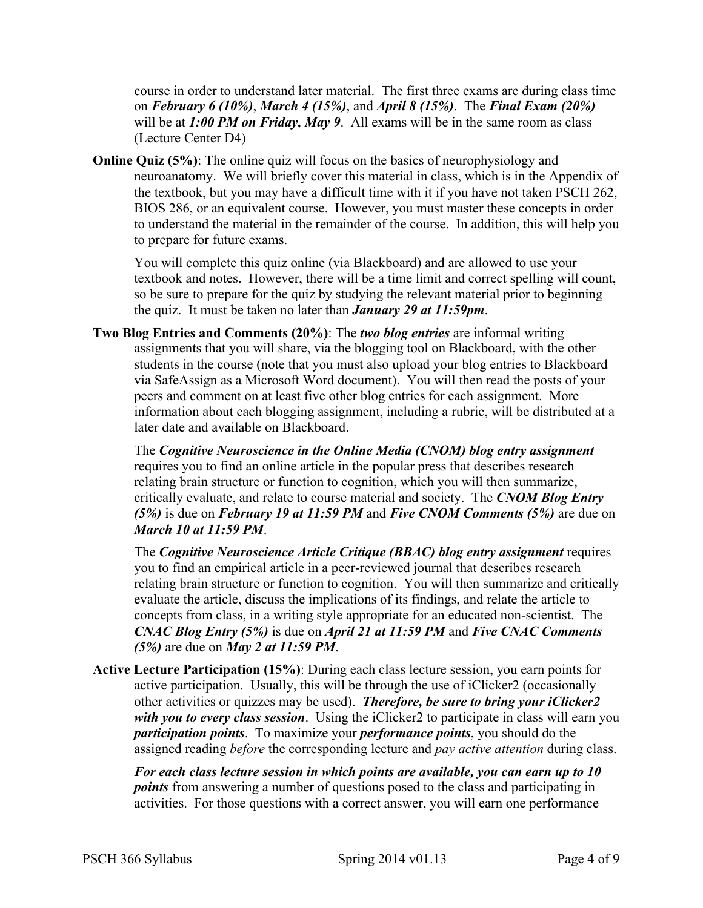course in order to understand later material. The first three exams are during class time on *February 6 (10%)*, *March 4 (15%)*, and *April 8 (15%)*. The *Final Exam (20%)* will be at **1:00 PM on Friday, May 9**. All exams will be in the same room as class (Lecture Center D4)

**Online Quiz** (5%): The online quiz will focus on the basics of neurophysiology and neuroanatomy. We will briefly cover this material in class, which is in the Appendix of the textbook, but you may have a difficult time with it if you have not taken PSCH 262, BIOS 286, or an equivalent course. However, you must master these concepts in order to understand the material in the remainder of the course. In addition, this will help you to prepare for future exams.

You will complete this quiz online (via Blackboard) and are allowed to use your textbook and notes. However, there will be a time limit and correct spelling will count, so be sure to prepare for the quiz by studying the relevant material prior to beginning the quiz. It must be taken no later than *January 29 at 11:59pm*.

**Two Blog Entries and Comments (20%)**: The *two blog entries* are informal writing assignments that you will share, via the blogging tool on Blackboard, with the other students in the course (note that you must also upload your blog entries to Blackboard via SafeAssign as a Microsoft Word document). You will then read the posts of your peers and comment on at least five other blog entries for each assignment. More information about each blogging assignment, including a rubric, will be distributed at a later date and available on Blackboard.

The *Cognitive Neuroscience in the Online Media (CNOM) blog entry assignment* requires you to find an online article in the popular press that describes research relating brain structure or function to cognition, which you will then summarize, critically evaluate, and relate to course material and society. The *CNOM Blog Entry (5%)* is due on *February 19 at 11:59 PM* and *Five CNOM Comments (5%)* are due on *March 10 at 11:59 PM*.

The *Cognitive Neuroscience Article Critique (BBAC) blog entry assignment* requires you to find an empirical article in a peer-reviewed journal that describes research relating brain structure or function to cognition. You will then summarize and critically evaluate the article, discuss the implications of its findings, and relate the article to concepts from class, in a writing style appropriate for an educated non-scientist. The *CNAC Blog Entry (5%)* is due on *April 21 at 11:59 PM* and *Five CNAC Comments (5%)* are due on *May 2 at 11:59 PM*.

**Active Lecture Participation (15%)**: During each class lecture session, you earn points for active participation. Usually, this will be through the use of iClicker2 (occasionally other activities or quizzes may be used). *Therefore, be sure to bring your iClicker2 with you to every class session*. Using the iClicker2 to participate in class will earn you *participation points*. To maximize your *performance points*, you should do the assigned reading *before* the corresponding lecture and *pay active attention* during class.

*For each class lecture session in which points are available, you can earn up to 10 points* from answering a number of questions posed to the class and participating in activities. For those questions with a correct answer, you will earn one performance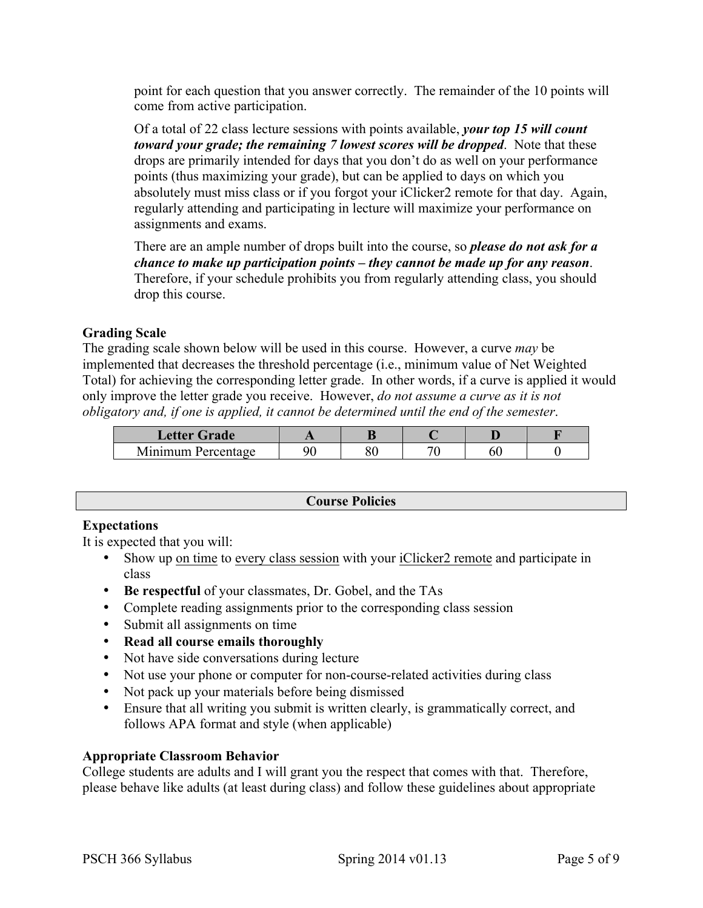point for each question that you answer correctly. The remainder of the 10 points will come from active participation.

Of a total of 22 class lecture sessions with points available, *your top 15 will count toward your grade; the remaining 7 lowest scores will be dropped*. Note that these drops are primarily intended for days that you don't do as well on your performance points (thus maximizing your grade), but can be applied to days on which you absolutely must miss class or if you forgot your iClicker2 remote for that day. Again, regularly attending and participating in lecture will maximize your performance on assignments and exams.

There are an ample number of drops built into the course, so *please do not ask for a chance to make up participation points – they cannot be made up for any reason*. Therefore, if your schedule prohibits you from regularly attending class, you should drop this course.

## **Grading Scale**

The grading scale shown below will be used in this course. However, a curve *may* be implemented that decreases the threshold percentage (i.e., minimum value of Net Weighted Total) for achieving the corresponding letter grade. In other words, if a curve is applied it would only improve the letter grade you receive. However, *do not assume a curve as it is not obligatory and, if one is applied, it cannot be determined until the end of the semester*.

| Letter Grade       |    |           |  |  |
|--------------------|----|-----------|--|--|
| Minimum Percentage | ۵r | ٦C<br>эv. |  |  |

### **Course Policies**

### **Expectations**

It is expected that you will:

- Show up on time to every class session with your iClicker2 remote and participate in class
- **Be respectful** of your classmates, Dr. Gobel, and the TAs
- Complete reading assignments prior to the corresponding class session
- Submit all assignments on time
- **Read all course emails thoroughly**
- Not have side conversations during lecture
- Not use your phone or computer for non-course-related activities during class
- Not pack up your materials before being dismissed
- Ensure that all writing you submit is written clearly, is grammatically correct, and follows APA format and style (when applicable)

### **Appropriate Classroom Behavior**

College students are adults and I will grant you the respect that comes with that. Therefore, please behave like adults (at least during class) and follow these guidelines about appropriate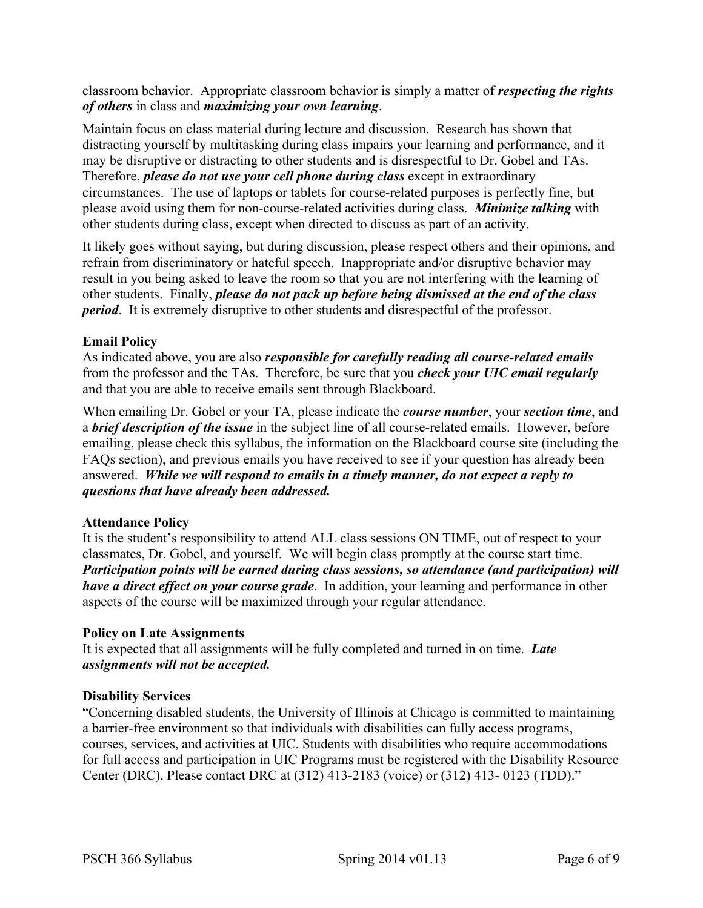classroom behavior. Appropriate classroom behavior is simply a matter of *respecting the rights of others* in class and *maximizing your own learning*.

Maintain focus on class material during lecture and discussion. Research has shown that distracting yourself by multitasking during class impairs your learning and performance, and it may be disruptive or distracting to other students and is disrespectful to Dr. Gobel and TAs. Therefore, *please do not use your cell phone during class* except in extraordinary circumstances. The use of laptops or tablets for course-related purposes is perfectly fine, but please avoid using them for non-course-related activities during class. *Minimize talking* with other students during class, except when directed to discuss as part of an activity.

It likely goes without saying, but during discussion, please respect others and their opinions, and refrain from discriminatory or hateful speech. Inappropriate and/or disruptive behavior may result in you being asked to leave the room so that you are not interfering with the learning of other students. Finally, *please do not pack up before being dismissed at the end of the class period*. It is extremely disruptive to other students and disrespectful of the professor.

# **Email Policy**

As indicated above, you are also *responsible for carefully reading all course-related emails* from the professor and the TAs. Therefore, be sure that you *check your UIC email regularly* and that you are able to receive emails sent through Blackboard.

When emailing Dr. Gobel or your TA, please indicate the *course number*, your *section time*, and a *brief description of the issue* in the subject line of all course-related emails. However, before emailing, please check this syllabus, the information on the Blackboard course site (including the FAQs section), and previous emails you have received to see if your question has already been answered. *While we will respond to emails in a timely manner, do not expect a reply to questions that have already been addressed.*

# **Attendance Policy**

It is the student's responsibility to attend ALL class sessions ON TIME, out of respect to your classmates, Dr. Gobel, and yourself. We will begin class promptly at the course start time. *Participation points will be earned during class sessions, so attendance (and participation) will have a direct effect on your course grade*. In addition, your learning and performance in other aspects of the course will be maximized through your regular attendance.

# **Policy on Late Assignments**

It is expected that all assignments will be fully completed and turned in on time. *Late assignments will not be accepted.*

# **Disability Services**

"Concerning disabled students, the University of Illinois at Chicago is committed to maintaining a barrier-free environment so that individuals with disabilities can fully access programs, courses, services, and activities at UIC. Students with disabilities who require accommodations for full access and participation in UIC Programs must be registered with the Disability Resource Center (DRC). Please contact DRC at (312) 413-2183 (voice) or (312) 413- 0123 (TDD)."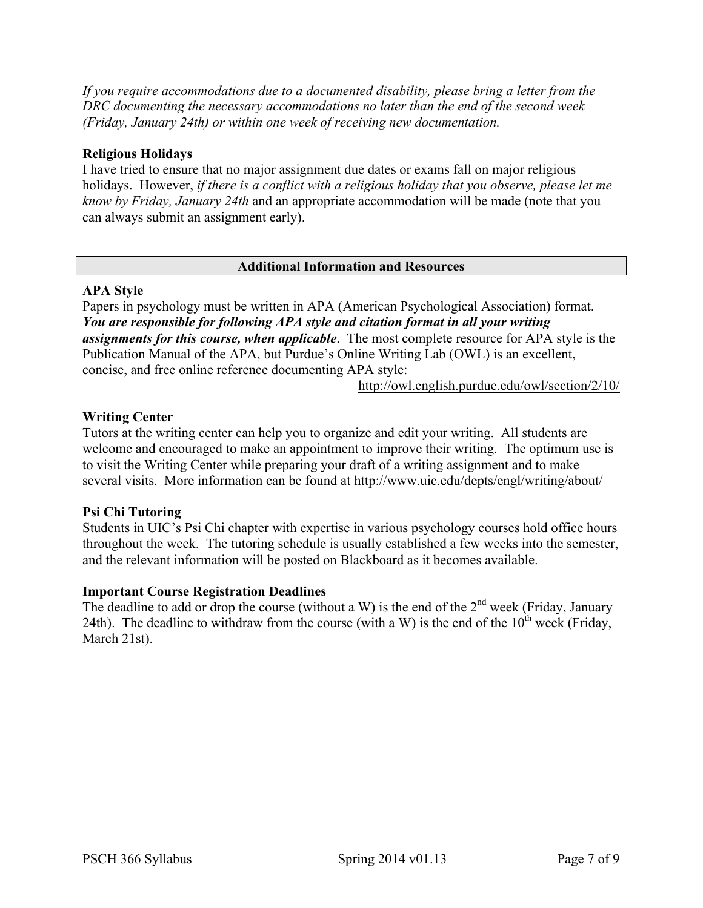*If you require accommodations due to a documented disability, please bring a letter from the DRC documenting the necessary accommodations no later than the end of the second week (Friday, January 24th) or within one week of receiving new documentation.*

## **Religious Holidays**

I have tried to ensure that no major assignment due dates or exams fall on major religious holidays. However, *if there is a conflict with a religious holiday that you observe, please let me know by Friday, January 24th* and an appropriate accommodation will be made (note that you can always submit an assignment early).

### **Additional Information and Resources**

### **APA Style**

Papers in psychology must be written in APA (American Psychological Association) format. *You are responsible for following APA style and citation format in all your writing assignments for this course, when applicable*. The most complete resource for APA style is the Publication Manual of the APA, but Purdue's Online Writing Lab (OWL) is an excellent, concise, and free online reference documenting APA style:

http://owl.english.purdue.edu/owl/section/2/10/

# **Writing Center**

Tutors at the writing center can help you to organize and edit your writing. All students are welcome and encouraged to make an appointment to improve their writing. The optimum use is to visit the Writing Center while preparing your draft of a writing assignment and to make several visits. More information can be found at http://www.uic.edu/depts/engl/writing/about/

# **Psi Chi Tutoring**

Students in UIC's Psi Chi chapter with expertise in various psychology courses hold office hours throughout the week. The tutoring schedule is usually established a few weeks into the semester, and the relevant information will be posted on Blackboard as it becomes available.

# **Important Course Registration Deadlines**

The deadline to add or drop the course (without a W) is the end of the  $2<sup>nd</sup>$  week (Friday, January 24th). The deadline to withdraw from the course (with a W) is the end of the  $10^{th}$  week (Friday, March 21st).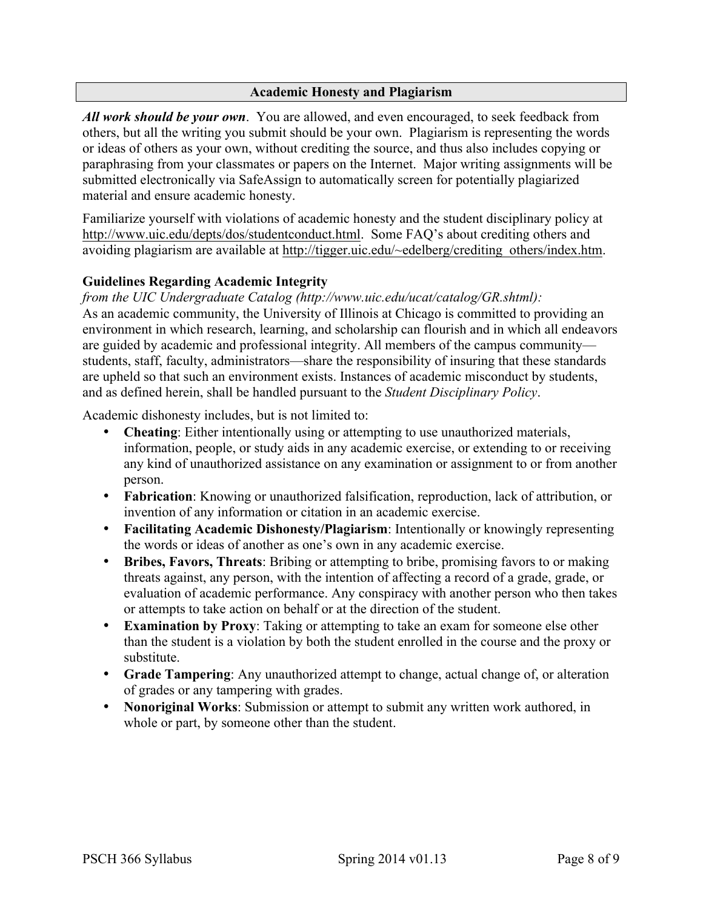## **Academic Honesty and Plagiarism**

*All work should be your own*. You are allowed, and even encouraged, to seek feedback from others, but all the writing you submit should be your own. Plagiarism is representing the words or ideas of others as your own, without crediting the source, and thus also includes copying or paraphrasing from your classmates or papers on the Internet. Major writing assignments will be submitted electronically via SafeAssign to automatically screen for potentially plagiarized material and ensure academic honesty.

Familiarize yourself with violations of academic honesty and the student disciplinary policy at http://www.uic.edu/depts/dos/studentconduct.html. Some FAQ's about crediting others and avoiding plagiarism are available at http://tigger.uic.edu/~edelberg/crediting\_others/index.htm.

# **Guidelines Regarding Academic Integrity**

*from the UIC Undergraduate Catalog (http://www.uic.edu/ucat/catalog/GR.shtml):* As an academic community, the University of Illinois at Chicago is committed to providing an environment in which research, learning, and scholarship can flourish and in which all endeavors are guided by academic and professional integrity. All members of the campus community students, staff, faculty, administrators—share the responsibility of insuring that these standards are upheld so that such an environment exists. Instances of academic misconduct by students, and as defined herein, shall be handled pursuant to the *Student Disciplinary Policy*.

Academic dishonesty includes, but is not limited to:

- **Cheating**: Either intentionally using or attempting to use unauthorized materials, information, people, or study aids in any academic exercise, or extending to or receiving any kind of unauthorized assistance on any examination or assignment to or from another person.
- **Fabrication**: Knowing or unauthorized falsification, reproduction, lack of attribution, or invention of any information or citation in an academic exercise.
- **Facilitating Academic Dishonesty/Plagiarism**: Intentionally or knowingly representing the words or ideas of another as one's own in any academic exercise.
- **Bribes, Favors, Threats**: Bribing or attempting to bribe, promising favors to or making threats against, any person, with the intention of affecting a record of a grade, grade, or evaluation of academic performance. Any conspiracy with another person who then takes or attempts to take action on behalf or at the direction of the student.
- **Examination by Proxy**: Taking or attempting to take an exam for someone else other than the student is a violation by both the student enrolled in the course and the proxy or substitute.
- **Grade Tampering**: Any unauthorized attempt to change, actual change of, or alteration of grades or any tampering with grades.
- **Nonoriginal Works**: Submission or attempt to submit any written work authored, in whole or part, by someone other than the student.